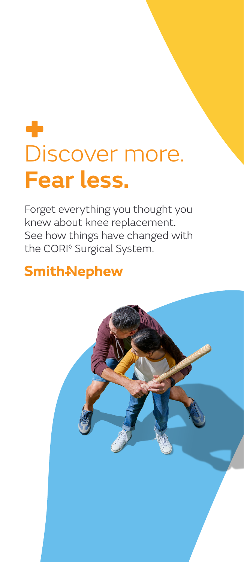## ÷ Discover more. **Fear less.**

Forget everything you thought you knew about knee replacement. See how things have changed with the CORI◊ Surgical System.

## **Smith-Nephew**

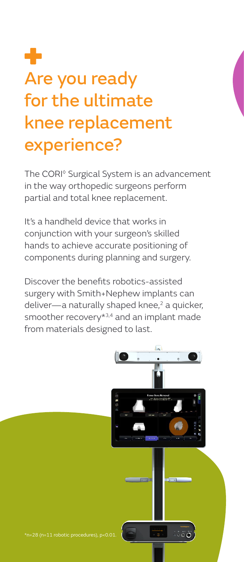# Are you ready for the ultimate knee replacement experience?

The CORI<sup>®</sup> Surgical System is an advancement in the way orthopedic surgeons perform partial and total knee replacement.

It's a handheld device that works in conjunction with your surgeon's skilled hands to achieve accurate positioning of components during planning and surgery.

Discover the benefits robotics-assisted surgery with Smith+Nephew implants can deliver-a naturally shaped knee,<sup>2</sup> a quicker, smoother recovery\*<sup>3,4</sup> and an implant made from materials designed to last.

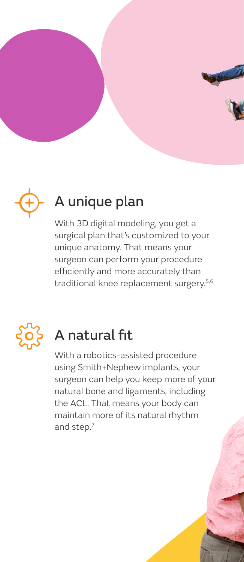



## A unique plan

With 3D digital modeling, you get a surgical plan that's customized to your unique anatomy. That means your surgeon can perform your procedure efficiently and more accurately than traditional knee replacement surgery.<sup>5,6</sup>



## A natural fit

With a robotics-assisted procedure using Smith+Nephew implants, your surgeon can help you keep more of your natural bone and ligaments, including the ACL. That means your body can maintain more of its natural rhythm and step.7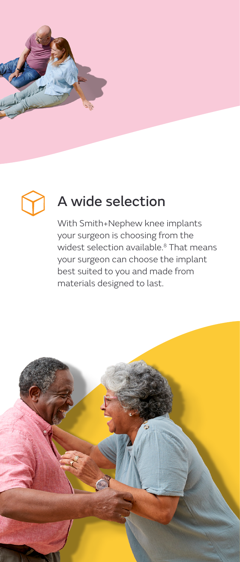



## A wide selection

With Smith+Nephew knee implants your surgeon is choosing from the widest selection available.<sup>8</sup> That means your surgeon can choose the implant best suited to you and made from materials designed to last.

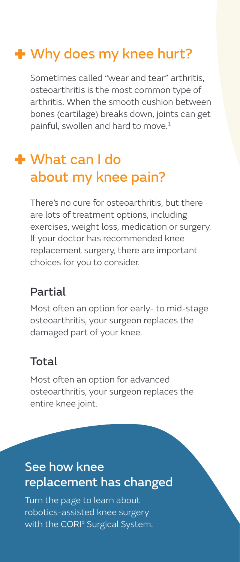## **+** Why does my knee hurt?

Sometimes called "wear and tear" arthritis, osteoarthritis is the most common type of arthritis. When the smooth cushion between bones (cartilage) breaks down, joints can get painful, swollen and hard to move.<sup>1</sup>

## What can I do about my knee pain?

There's no cure for osteoarthritis, but there are lots of treatment options, including exercises, weight loss, medication or surgery. If your doctor has recommended knee replacement surgery, there are important choices for you to consider.

#### Partial

Most often an option for early- to mid-stage osteoarthritis, your surgeon replaces the damaged part of your knee.

#### Total

Most often an option for advanced osteoarthritis, your surgeon replaces the entire knee joint.

### See how knee replacement has changed

Turn the page to learn about robotics-assisted knee surgery with the CORI<sup>®</sup> Surgical System.